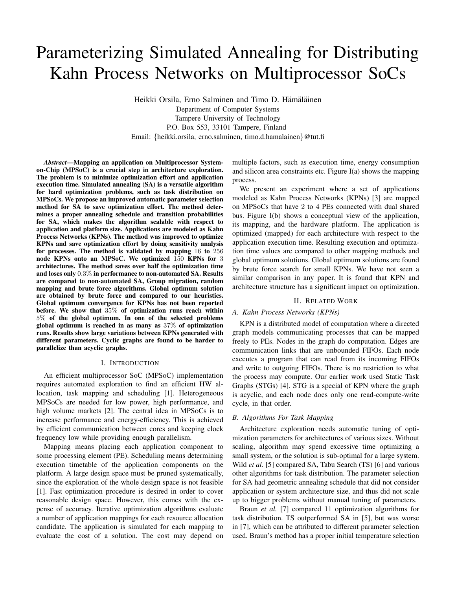# Parameterizing Simulated Annealing for Distributing Kahn Process Networks on Multiprocessor SoCs

Heikki Orsila, Erno Salminen and Timo D. Hämäläinen Department of Computer Systems Tampere University of Technology P.O. Box 553, 33101 Tampere, Finland Email: {heikki.orsila, erno.salminen, timo.d.hamalainen}@tut.fi

*Abstract***—Mapping an application on Multiprocessor Systemon-Chip (MPSoC) is a crucial step in architecture exploration. The problem is to minimize optimization effort and application execution time. Simulated annealing (SA) is a versatile algorithm for hard optimization problems, such as task distribution on MPSoCs. We propose an improved automatic parameter selection method for SA to save optimization effort. The method determines a proper annealing schedule and transition probabilities for SA, which makes the algorithm scalable with respect to application and platform size. Applications are modeled as Kahn Process Networks (KPNs). The method was improved to optimize KPNs and save optimization effort by doing sensitivity analysis for processes. The method is validated by mapping** 16 **to** 256 **node KPNs onto an MPSoC. We optimized** 150 **KPNs for** 3 **architectures. The method saves over half the optimization time and loses only** 0*.*3% **in performance to non-automated SA. Results are compared to non-automated SA, Group migration, random mapping and brute force algorithms. Global optimum solution are obtained by brute force and compared to our heuristics. Global optimum convergence for KPNs has not been reported before. We show that** 35% **of optimization runs reach within** 5% **of the global optimum. In one of the selected problems global optimum is reached in as many as** 37% **of optimization runs. Results show large variations between KPNs generated with different parameters. Cyclic graphs are found to be harder to parallelize than acyclic graphs.**

## I. INTRODUCTION

An efficient multiprocessor SoC (MPSoC) implementation requires automated exploration to find an efficient HW allocation, task mapping and scheduling [1]. Heterogeneous MPSoCs are needed for low power, high performance, and high volume markets [2]. The central idea in MPSoCs is to increase performance and energy-efficiency. This is achieved by efficient communication between cores and keeping clock frequency low while providing enough parallelism.

Mapping means placing each application component to some processing element (PE). Scheduling means determining execution timetable of the application components on the platform. A large design space must be pruned systematically, since the exploration of the whole design space is not feasible [1]. Fast optimization procedure is desired in order to cover reasonable design space. However, this comes with the expense of accuracy. Iterative optimization algorithms evaluate a number of application mappings for each resource allocation candidate. The application is simulated for each mapping to evaluate the cost of a solution. The cost may depend on

multiple factors, such as execution time, energy consumption and silicon area constraints etc. Figure I(a) shows the mapping process.

We present an experiment where a set of applications modeled as Kahn Process Networks (KPNs) [3] are mapped on MPSoCs that have 2 to 4 PEs connected with dual shared bus. Figure I(b) shows a conceptual view of the application, its mapping, and the hardware platform. The application is optimized (mapped) for each architecture with respect to the application execution time. Resulting execution and optimization time values are compared to other mapping methods and global optimum solutions. Global optimum solutions are found by brute force search for small KPNs. We have not seen a similar comparison in any paper. It is found that KPN and architecture structure has a significant impact on optimization.

## II. RELATED WORK

## *A. Kahn Process Networks (KPNs)*

KPN is a distributed model of computation where a directed graph models communicating processes that can be mapped freely to PEs. Nodes in the graph do computation. Edges are communication links that are unbounded FIFOs. Each node executes a program that can read from its incoming FIFOs and write to outgoing FIFOs. There is no restriction to what the process may compute. Our earlier work used Static Task Graphs (STGs) [4]. STG is a special of KPN where the graph is acyclic, and each node does only one read-compute-write cycle, in that order.

#### *B. Algorithms For Task Mapping*

Architecture exploration needs automatic tuning of optimization parameters for architectures of various sizes. Without scaling, algorithm may spend excessive time optimizing a small system, or the solution is sub-optimal for a large system. Wild *et al.* [5] compared SA, Tabu Search (TS) [6] and various other algorithms for task distribution. The parameter selection for SA had geometric annealing schedule that did not consider application or system architecture size, and thus did not scale up to bigger problems without manual tuning of parameters.

Braun *et al.* [7] compared 11 optimization algorithms for task distribution. TS outperformed SA in [5], but was worse in [7], which can be attributed to different parameter selection used. Braun's method has a proper initial temperature selection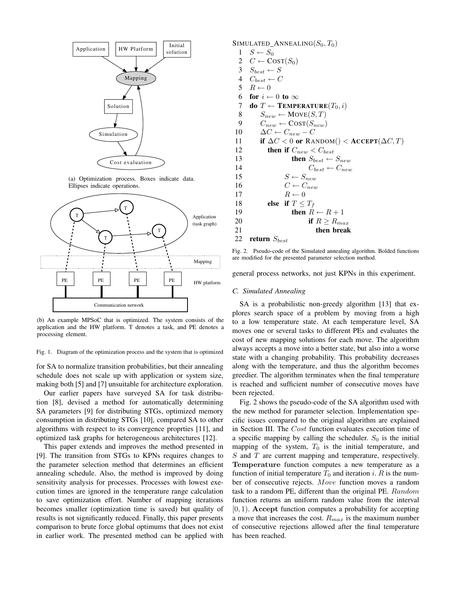

(a) Optimization process. Boxes indicate data. Ellipses indicate operations.



(b) An example MPSoC that is optimized. The system consists of the application and the HW platform. T denotes a task, and PE denotes a processing element.

Fig. 1. Diagram of the optimization process and the system that is optimized

for SA to normalize transition probabilities, but their annealing schedule does not scale up with application or system size, making both [5] and [7] unsuitable for architecture exploration.

Our earlier papers have surveyed SA for task distribution [8], devised a method for automatically determining SA parameters [9] for distributing STGs, optimized memory consumption in distributing STGs [10], compared SA to other algorithms with respect to its convergence proprties [11], and optimized task graphs for heterogeneous architectures [12].

This paper extends and improves the method presented in [9]. The transition from STGs to KPNs requires changes to the parameter selection method that determines an efficient annealing schedule. Also, the method is improved by doing sensitivity analysis for processes. Processes with lowest execution times are ignored in the temperature range calculation to save optimization effort. Number of mapping iterations becomes smaller (optimization time is saved) but quality of results is not significantly reduced. Finally, this paper presents comparison to brute force global optimums that does not exist in earlier work. The presented method can be applied with SIMULATED\_ANNEALING( $S_0, T_0$ )<br>1  $S \leftarrow S_0$ 

- 1 *S* ← *S*<sub>0</sub><br>2 *C* ← C
- 2  $C \leftarrow \text{COST}(S_0)$ <br>3  $S_{best} \leftarrow S$
- 3  $S_{best} \leftarrow S$ <br>4  $C_{best} \leftarrow C$
- $\begin{array}{cc} 4 & C_{best} \leftarrow C \\ 5 & R \leftarrow 0 \end{array}$
- $5$   $R \leftarrow 0$ <br>6 **for**  $i \leftarrow$
- 6 **for**  $i \leftarrow 0$  **to** ∞<br>7 **do**  $T \leftarrow$  **TEMPI**
- 7 **do**  $T \leftarrow \textbf{Temperature}(T_0, i)$ <br>8  $S_{new} \leftarrow \textbf{Move}(S, T)$
- 8  $S_{new} \leftarrow \text{Move}(S, T)$ <br>9  $C_{new} \leftarrow \text{COST}(S_{new})$ 9  $C_{new} \leftarrow \text{COST}(S_{new})$ <br>10  $\Delta C \leftarrow C_{new} - C$
- 10  $\Delta C \leftarrow C_{new} C$ <br>11 **if**  $\Delta C < 0$  or RA
- 11 **if**  $\Delta C < 0$  or RANDOM()  $<$  **ACCEPT**( $\Delta C, T$ )<br>12 **then if**  $C_{near} < C_{heat}$

```
12 then if C_{new} < C_{best}<br>13 then S_{best} \leftarrow13 then S_{best} \leftarrow S_{new}<br>14 C_{best} \leftarrow C_{new}14 C_{best} \leftarrow C_{new}<br>15 S \leftarrow S_{new}15 S \leftarrow S_{new}<br>16 C \leftarrow C_{new}16 C \leftarrow C_{new}<br>17 R \leftarrow 017 R \leftarrow 0<br>18 else if T <18 else if T \le T_f<br>than P
19 then R \leftarrow R + 1<br>20 if R > R_{mc}20 if R \ge R_{max}<br>21 ihen break
                                       21 then break
```
### <sup>22</sup> **return** *<sup>S</sup>best*

Fig. 2. Pseudo-code of the Simulated annealing algorithm. Bolded functions are modified for the presented parameter selection method.

general process networks, not just KPNs in this experiment.

## *C. Simulated Annealing*

SA is a probabilistic non-greedy algorithm [13] that explores search space of a problem by moving from a high to a low temperature state. At each temperature level, SA moves one or several tasks to different PEs and evaluates the cost of new mapping solutions for each move. The algorithm always accepts a move into a better state, but also into a worse state with a changing probability. This probability decreases along with the temperature, and thus the algorithm becomes greedier. The algorithm terminates when the final temperature is reached and sufficient number of consecutive moves have been rejected.

Fig. 2 shows the pseudo-code of the SA algorithm used with the new method for parameter selection. Implementation specific issues compared to the original algorithm are explained in Section III. The *Cost* function evaluates execution time of a specific mapping by calling the scheduler.  $S_0$  is the initial mapping of the system,  $T_0$  is the initial temperature, and *S* and *T* are current mapping and temperature, respectively. **Temperature** function computes a new temperature as a function of initial temperature  $T_0$  and iteration *i*. *R* is the number of consecutive rejects. *Move* function moves a random task to a random PE, different than the original PE. *Random* function returns an uniform random value from the interval [0*,* 1). **Accept** function computes a probability for accepting a move that increases the cost. *<sup>R</sup>max* is the maximum number of consecutive rejections allowed after the final temperature has been reached.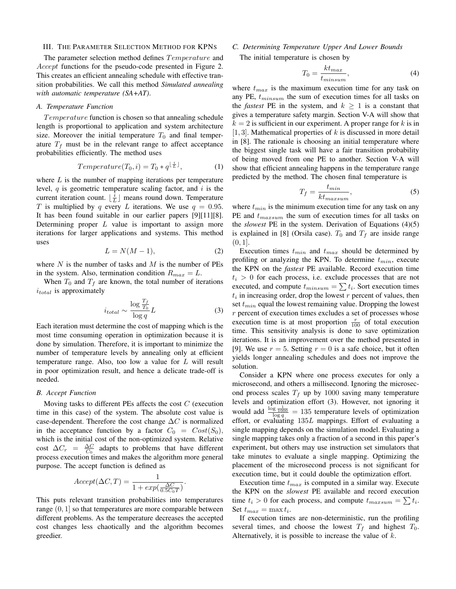#### III. THE PARAMETER SELECTION METHOD FOR KPNS

The parameter selection method defines *T emperature* and *Accept* functions for the pseudo-code presented in Figure 2. This creates an efficient annealing schedule with effective transition probabilities. We call this method *Simulated annealing with automatic temperature (SA+AT)*.

## *A. Temperature Function*

*T emperature* function is chosen so that annealing schedule length is proportional to application and system architecture size. Moreover the initial temperature  $T_0$  and final temperature  $T_f$  must be in the relevant range to affect acceptance probabilities efficiently. The method uses

$$
Temperature(T_0, i) = T_0 * q^{\lfloor \frac{i}{L} \rfloor}, \tag{1}
$$

where *L* is the number of mapping iterations per temperature level, *q* is geometric temperature scaling factor, and *i* is the current iteration count.  $\left\lfloor \frac{i}{L} \right\rfloor$  means round down. Temperature  $T$  is multiplied by a every L iterations. We use  $a = 0.95$ *T* is multiplied by *q* every *L* iterations. We use  $q = 0.95$ . It has been found suitable in our earlier papers [9][11][8]. Determining proper *L* value is important to assign more iterations for larger applications and systems. This method uses

$$
L = N(M - 1),\tag{2}
$$

where *N* is the number of tasks and *M* is the number of PEs in the system. Also, termination condition  $R_{max} = L$ .

When  $T_0$  and  $T_f$  are known, the total number of iterations *itotal* is approximately

$$
i_{total} \sim \frac{\log \frac{T_f}{T_0}}{\log q} L \tag{3}
$$

 $\frac{d_{total}}{\log q}$   $\sim \frac{1}{\log q}$  (3) most time consuming operation in optimization because it is done by simulation. Therefore, it is important to minimize the number of temperature levels by annealing only at efficient temperature range. Also, too low a value for *L* will result in poor optimization result, and hence a delicate trade-off is needed.

## *B. Accept Function*

Moving tasks to different PEs affects the cost *C* (execution time in this case) of the system. The absolute cost value is case-dependent. Therefore the cost change  $\Delta C$  is normalized in the acceptance function by a factor  $C_0 = Cost(S_0)$ , which is the initial cost of the non-optimized system. Relative cost  $\Delta C_r = \frac{\Delta C}{C_0}$  adapts to problems that have different process execution times and makes the algorithm more general purpose. The accept function is defined as

$$
Accept(\Delta C, T) = \frac{1}{1 + exp(\frac{\Delta C}{0.5C_0T})}.
$$

This puts relevant transition probabilities into temperatures range (0*,* 1] so that temperatures are more comparable between different problems. As the temperature decreases the accepted cost changes less chaotically and the algorithm becomes greedier.

## *C. Determining Temperature Upper And Lower Bounds*

The initial temperature is chosen by

$$
T_0 = \frac{k t_{max}}{t_{minsum}},\tag{4}
$$

where  $t_{max}$  is the maximum execution time for any task on  $\sum_{n=1}^{\infty} t_n$  the sum of execution times for all tasks on any PE, *<sup>t</sup>minsum* the sum of execution times for all tasks on the *fastest* PE in the system, and  $k \geq 1$  is a constant that gives a temperature safety margin. Section V-A will show that  $k = 2$  is sufficient in our experiment. A proper range for k is in [1*,* 3]. Mathematical properties of *<sup>k</sup>* is discussed in more detail in [8]. The rationale is choosing an initial temperature where the biggest single task will have a fair transition probability of being moved from one PE to another. Section V-A will show that efficient annealing happens in the temperature range predicted by the method. The chosen final temperature is

$$
T_f = \frac{t_{min}}{kt_{maxsum}},\tag{5}
$$

where  $t_{min}$  is the minimum execution time for any task on any  $\overline{DE}$  and  $\overline{t}$  the sum of system times for all tasks on PE and *<sup>t</sup>maxsum* the sum of execution times for all tasks on the *slowest* PE in the system. Derivation of Equations (4)(5) is explained in [8] (Orsila case).  $T_0$  and  $T_f$  are inside range  $(0, 1].$ 

Execution times  $t_{min}$  and  $t_{max}$  should be determined by profiling or analyzing the KPN. To determine *<sup>t</sup>min*, execute the KPN on the *fastest* PE available. Record execution time  $t_i > 0$  for each process, i.e. exclude processes that are not<br>executed and compute  $t_{i+1} = \sum t_i$ . Sort execution times executed, and compute  $t_{minsum} = \sum t_i$ . Sort execution times  $t_i$ , in increasing order, drop the lowest *r* percent of values, then  $t_i$  in increasing order, drop the lowest  $r$  percent of values, then  $\text{cost}$   $t$  and the lowest remaining value. Depending the lowest set *<sup>t</sup>min* equal the lowest remaining value. Dropping the lowest *r* percent of execution times excludes a set of processes whose execution time is at most proportion  $\frac{r}{100}$  of total execution<br>time. This sensitivity analysis is done to save optimization time. This sensitivity analysis is done to save optimization iterations. It is an improvement over the method presented in [9]. We use  $r = 5$ . Setting  $r = 0$  is a safe choice, but it often yields longer annealing schedules and does not improve the solution.

Consider a KPN where one process executes for only a microsecond, and others a millisecond. Ignoring the microsecond process scales  $T_f$  up by 1000 saving many temperature levels and optimization effort (3). However, not ignoring it would add  $\frac{\log \frac{1}{1000}}{\log q} = 135$  temperature levels of optimization<br>effort, or evaluating 135*L* mannings. Effort of evaluating a effort, or evaluating 135*<sup>L</sup>* mappings. Effort of evaluating a single mapping depends on the simulation model. Evaluating a single mapping takes only a fraction of a second in this paper's experiment, but others may use instruction set simulators that take minutes to evaluate a single mapping. Optimizing the placement of the microsecond process is not significant for execution time, but it could double the optimization effort.

Execution time *<sup>t</sup>max* is computed in a similar way. Execute the KPN on the *slowest* PE available and record execution time  $t_i > 0$  for each process, and compute  $t_{maxsum} = \sum t_i$ .<br>Set  $t_i = \max t_i$ . Set  $t_{max} = \max t_i$ .

If execution times are non-deterministic, run the profiling several times, and choose the lowest  $T_f$  and highest  $T_0$ . Alternatively, it is possible to increase the value of *k*.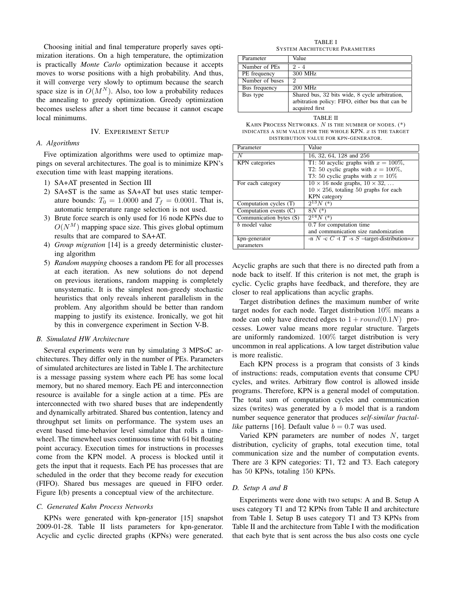Choosing initial and final temperature properly saves optimization iterations. On a high temperature, the optimization is practically *Monte Carlo* optimization because it accepts moves to worse positions with a high probability. And thus, it will converge very slowly to optimum because the search space size is in  $O(M^N)$ . Also, too low a probability reduces the annealing to greedy optimization. Greedy optimization becomes useless after a short time because it cannot escape local minimums.

## IV. EXPERIMENT SETUP

## *A. Algorithms*

Five optimization algorithms were used to optimize mappings on several architectures. The goal is to minimize KPN's execution time with least mapping iterations.

- 1) SA+AT presented in Section III
- 2) SA+ST is the same as SA+AT but uses static temperature bounds:  $T_0 = 1.0000$  and  $T_f = 0.0001$ . That is, automatic temperature range selection is not used.
- 3) Brute force search is only used for 16 node KPNs due to  $O(N^M)$  mapping space size. This gives global optimum results that are compared to SA+AT.
- 4) *Group migration* [14] is a greedy deterministic clustering algorithm
- 5) *Random mapping* chooses a random PE for all processes at each iteration. As new solutions do not depend on previous iterations, random mapping is completely unsystematic. It is the simplest non-greedy stochastic heuristics that only reveals inherent parallelism in the problem. Any algorithm should be better than random mapping to justify its existence. Ironically, we got hit by this in convergence experiment in Section V-B.

## *B. Simulated HW Architecture*

Several experiments were run by simulating 3 MPSoC architectures. They differ only in the number of PEs. Parameters of simulated architectures are listed in Table I. The architecture is a message passing system where each PE has some local memory, but no shared memory. Each PE and interconnection resource is available for a single action at a time. PEs are interconnected with two shared buses that are independently and dynamically arbitrated. Shared bus contention, latency and throughput set limits on performance. The system uses an event based time-behavior level simulator that rolls a timewheel. The timewheel uses continuous time with 64 bit floating point accuracy. Execution times for instructions in processes come from the KPN model. A process is blocked until it gets the input that it requests. Each PE has processes that are scheduled in the order that they become ready for execution (FIFO). Shared bus messages are queued in FIFO order. Figure I(b) presents a conceptual view of the architecture.

#### *C. Generated Kahn Process Networks*

KPNs were generated with kpn-generator [15] snapshot 2009-01-28. Table II lists parameters for kpn-generator. Acyclic and cyclic directed graphs (KPNs) were generated.

TABLE I SYSTEM ARCHITECTURE PARAMETERS

| Parameter       | Value                                                                                                                |
|-----------------|----------------------------------------------------------------------------------------------------------------------|
| Number of PEs   | $2 - 4$                                                                                                              |
| PE frequency    | 300 MHz                                                                                                              |
| Number of buses | 2                                                                                                                    |
| Bus frequency   | 200 MHz                                                                                                              |
| Bus type        | Shared bus, 32 bits wide, 8 cycle arbitration,<br>arbitration policy: FIFO, either bus that can be<br>acquired first |

TABLE II KAHN PROCESS NETWORKS. *N* IS THE NUMBER OF NODES. (\*) INDICATES A SUM VALUE FOR THE WHOLE KPN. *x* IS THE TARGET

|  |  |  |  |  |  |  |  |  | DISTRIBUTION VALUE FOR KPN-GENERATOR. |  |  |  |  |  |
|--|--|--|--|--|--|--|--|--|---------------------------------------|--|--|--|--|--|

| Parameter               | Value                                              |
|-------------------------|----------------------------------------------------|
|                         | 16, 32, 64, 128 and 256                            |
| KPN categories          | T1: 50 acyclic graphs with $x = 100\%$ ,           |
|                         | T2: 50 cyclic graphs with $x = 100\%$ ,            |
|                         | T3: 50 cyclic graphs with $x = 10\%$               |
| For each category       | $10 \times 16$ node graphs, $10 \times 32$ ,       |
|                         | $10 \times 256$ , totaling 50 graphs for each      |
|                         | KPN category                                       |
| Computation cycles (T)  | $2^{13}N$ $(*)$                                    |
| Computation events (C)  | $8N$ $(*)$                                         |
| Communication bytes (S) | $2^{14}N$ (*)                                      |
| b model value           | 0.7 for computation time                           |
|                         | and communication size randomization               |
| kpn-generator           | -n $N$ -c $C$ -t $T$ -s $S$ -target-distribution=x |
| parameters              |                                                    |

Acyclic graphs are such that there is no directed path from a node back to itself. If this criterion is not met, the graph is cyclic. Cyclic graphs have feedback, and therefore, they are closer to real applications than acyclic graphs.

Target distribution defines the maximum number of write target nodes for each node. Target distribution 10% means a node can only have directed edges to  $1 + round(0.1N)$  processes. Lower value means more regular structure. Targets are uniformly randomized. 100% target distribution is very uncommon in real applications. A low target distribution value is more realistic.

Each KPN process is a program that consists of 3 kinds of instructions: reads, computation events that consume CPU cycles, and writes. Arbitrary flow control is allowed inside programs. Therefore, KPN is a general model of computation. The total sum of computation cycles and communication sizes (writes) was generated by a *b* model that is a random number sequence generator that produces *self-similar fractallike* patterns [16]. Default value  $b = 0.7$  was used.

Varied KPN parameters are number of nodes *N*, target distribution, cyclicity of graphs, total execution time, total communication size and the number of computation events. There are 3 KPN categories: T1, T2 and T3. Each category has 50 KPNs, totaling 150 KPNs.

#### *D. Setup A and B*

Experiments were done with two setups: A and B. Setup A uses category T1 and T2 KPNs from Table II and architecture from Table I. Setup B uses category T1 and T3 KPNs from Table II and the architecture from Table I with the modification that each byte that is sent across the bus also costs one cycle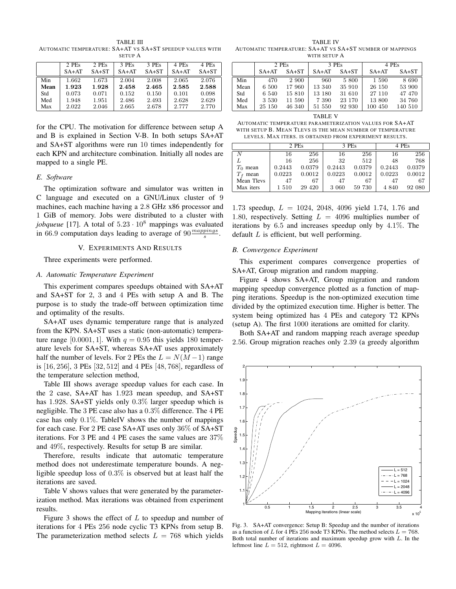TABLE III AUTOMATIC TEMPERATURE: SA+AT VS SA+ST SPEEDUP VALUES WITH SETUP A

|      | 2 PEs   | 2 PEs   | 3 PEs   | 3 PEs   | 4 PEs   | 4 PEs   |
|------|---------|---------|---------|---------|---------|---------|
|      | $SA+AT$ | $SA+ST$ | $SA+AT$ | $SA+ST$ | $SA+AT$ | $SA+ST$ |
| Min  | 1.662   | 1.673   | 2.004   | 2.008   | 2.065   | 2.076   |
| Mean | 1.923   | 1.928   | 2.458   | 2.465   | 2.585   | 2.588   |
| Std  | 0.073   | 0.071   | 0.152   | 0.150   | 0.101   | 0.098   |
| Med  | 1.948   | 1.951   | 2.486   | 2.493   | 2.628   | 2.629   |
| Max  | 2.022   | 2.046   | 2.665   | 2.678   | 2.777   | 2.770   |

for the CPU. The motivation for difference between setup A and B is explained in Section V-B. In both setups SA+AT and SA+ST algorithms were run 10 times independently for each KPN and architecture combination. Initially all nodes are mapped to a single PE.

## *E. Software*

The optimization software and simulator was written in C language and executed on a GNU/Linux cluster of 9 machines, each machine having a 2*.*8 GHz x86 processor and 1 GiB of memory. Jobs were distributed to a cluster with *jobqueue* [17]. A total of  $5.23 \cdot 10^8$  mappings was evaluated in 66.9 computation days leading to average of  $90 \frac{mapping}{s}$ .

#### V. EXPERIMENTS AND RESULTS

Three experiments were performed.

## *A. Automatic Temperature Experiment*

This experiment compares speedups obtained with SA+AT and SA+ST for 2, 3 and 4 PEs with setup A and B. The purpose is to study the trade-off between optimization time and optimality of the results.

SA+AT uses dynamic temperature range that is analyzed from the KPN. SA+ST uses a static (non-automatic) temperature range [0.0001, 1]. With  $q = 0.95$  this yields 180 temperature levels for SA+ST, whereas SA+AT uses approximately half the number of levels. For 2 PEs the  $L = N(M-1)$  range is [16*,* 256], 3 PEs [32*,* 512] and 4 PEs [48*,* 768], regardless of the temperature selection method,

Table III shows average speedup values for each case. In the 2 case, SA+AT has 1*.*923 mean speedup, and SA+ST has 1*.*928. SA+ST yields only 0*.*3% larger speedup which is negligible. The 3 PE case also has a 0*.*3% difference. The 4 PE case has only 0*.*1%. TableIV shows the number of mappings for each case. For 2 PE case SA+AT uses only 36% of SA+ST iterations. For 3 PE and 4 PE cases the same values are 37% and 49%, respectively. Results for setup B are similar.

Therefore, results indicate that automatic temperature method does not underestimate temperature bounds. A negligible speedup loss of 0*.*3% is observed but at least half the iterations are saved.

Table V shows values that were generated by the parameterization method. Max iterations was obtained from experiment results.

Figure 3 shows the effect of *L* to speedup and number of iterations for 4 PEs 256 node cyclic T3 KPNs from setup B. The parameterization method selects  $L = 768$  which yields

TABLE IV AUTOMATIC TEMPERATURE: SA+AT VS SA+ST NUMBER OF MAPPINGS WITH SETUP A

|      |         | 2 PEs   | 3 PEs   |         | 4 PEs   |         |  |
|------|---------|---------|---------|---------|---------|---------|--|
|      | $SA+AT$ | $SA+ST$ | $SA+AT$ | $SA+ST$ | $SA+AT$ | $SA+ST$ |  |
| Min  | 470     | 2 900   | 960     | 5 800   | 1 590   | 8 690   |  |
| Mean | 6 500   | 17 960  | 13 340  | 35 910  | 26 150  | 53 900  |  |
| Std  | 6 540   | 15 810  | 13 180  | 31 610  | 27 110  | 47 470  |  |
| Med  | 3 5 3 0 | 11 590  | 7 3 9 0 | 23 170  | 13 800  | 34 760  |  |
| Max  | 25 150  | 46 340  | 51 550  | 92 930  | 100 450 | 140 510 |  |

TABLE V AUTOMATIC TEMPERATURE PARAMETERIZATION VALUES FOR SA+AT WITH SETUP B. MEAN TLEVS IS THE MEAN NUMBER OF TEMPERATURE LEVELS. MAX ITERS. IS OBTAINED FROM EXPERIMENT RESULTS.

|            |        | 2 PEs   |        | 3 PEs  |        | 4 PEs  |
|------------|--------|---------|--------|--------|--------|--------|
|            | 16     | 256     | 16     | 256    | 16     | 256    |
|            | 16     | 256     | 32     | 512    | 48     | 768    |
| $T_0$ mean | 0.2443 | 0.0379  | 0.2443 | 0.0379 | 0.2443 | 0.0379 |
| mean       | 0.0223 | 0.0012  | 0.0223 | 0.0012 | 0.0223 | 0.0012 |
| Mean Tlevs | 47     | 67      | 47     | 67     | 47     | 67     |
| Max iters  | 1510   | 29 4 20 | 3 060  | 59 730 | 4 840  | 92 080 |

1*.*73 speedup, *<sup>L</sup>* = 1024, 2048, 4096 yield 1*.*74, 1*.*76 and 1*.*80, respectively. Setting *<sup>L</sup>* = 4096 multiplies number of iterations by 6*.*5 and increases speedup only by 4*.*1%. The default *L* is efficient, but well performing.

## *B. Convergence Experiment*

This experiment compares convergence properties of SA+AT, Group migration and random mapping.

Figure 4 shows SA+AT, Group migration and random mapping speedup convergence plotted as a function of mapping iterations. Speedup is the non-optimized execution time divided by the optimized execution time. Higher is better. The system being optimized has 4 PEs and category T2 KPNs (setup A). The first 1000 iterations are omitted for clarity.

Both SA+AT and random mapping reach average speedup 2*.*56. Group migration reaches only 2*.*39 (a greedy algorithm

0.5 1 1.5 2 2.5 3 3.5 4  $\times$  10 $^{\circ}$ 1 1.1 1.2 1.3  $\overline{1}$ . 1.5 1.6  $\mathbf{1}$ . 1.8 1.9 2 Mapping iterations (linear scale) Speedup  $L = 512$  $L = 768$  $-L = 1024$  $-L = 2048$  $-L = 4096$ 

Fig. 3. SA+AT convergence: Setup B: Speedup and the number of iterations as a function of *L* for 4 PEs 256 node T3 KPNs. The method selects  $L = 768$ . Both total number of iterations and maximum speedup grow with *L*. In the leftmost line  $L = 512$ , rightmost  $L = 4096$ .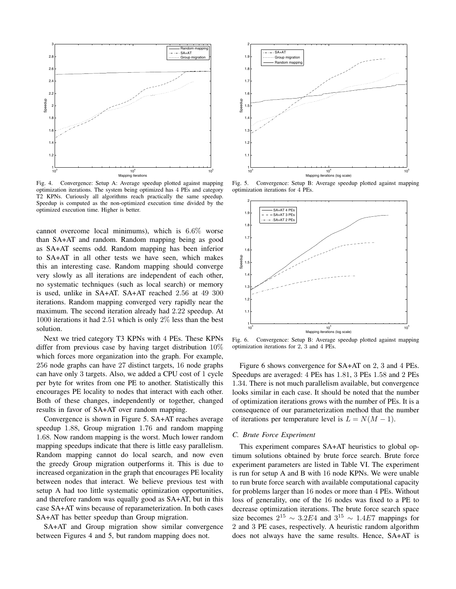

Fig. 4. Convergence: Setup A: Average speedup plotted against mapping optimization iterations. The system being optimized has 4 PEs and category T2 KPNs. Curiously all algorithms reach practically the same speedup. Speedup is computed as the non-optimized execution time divided by the optimized execution time. Higher is better.

cannot overcome local minimums), which is 6*.*6% worse than SA+AT and random. Random mapping being as good as SA+AT seems odd. Random mapping has been inferior to SA+AT in all other tests we have seen, which makes this an interesting case. Random mapping should converge very slowly as all iterations are independent of each other, no systematic techniques (such as local search) or memory is used, unlike in SA+AT. SA+AT reached 2*.*56 at 49 300 iterations. Random mapping converged very rapidly near the maximum. The second iteration already had 2*.*22 speedup. At 1000 iterations it had 2*.*51 which is only 2% less than the best solution.

Next we tried category T3 KPNs with 4 PEs. These KPNs differ from previous case by having target distribution  $10\%$ which forces more organization into the graph. For example, 256 node graphs can have 27 distinct targets, 16 node graphs can have only 3 targets. Also, we added a CPU cost of 1 cycle per byte for writes from one PE to another. Statistically this encourages PE locality to nodes that interact with each other. Both of these changes, independently or together, changed results in favor of SA+AT over random mapping.

Convergence is shown in Figure 5. SA+AT reaches average speedup 1*.*88, Group migration 1*.*76 and random mapping 1*.*68. Now random mapping is the worst. Much lower random mapping speedups indicate that there is little easy parallelism. Random mapping cannot do local search, and now even the greedy Group migration outperforms it. This is due to increased organization in the graph that encourages PE locality between nodes that interact. We believe previous test with setup A had too little systematic optimization opportunities, and therefore random was equally good as SA+AT, but in this case SA+AT wins because of reparameterization. In both cases SA+AT has better speedup than Group migration.

SA+AT and Group migration show similar convergence between Figures 4 and 5, but random mapping does not.



Fig. 5. Convergence: Setup B: Average speedup plotted against mapping optimization iterations for 4 PEs.



Fig. 6. Convergence: Setup B: Average speedup plotted against mapping optimization iterations for 2, 3 and 4 PEs.

Figure 6 shows convergence for SA+AT on 2, 3 and 4 PEs. Speedups are averaged: 4 PEs has 1*.*81, 3 PEs 1*.*58 and 2 PEs 1*.*34. There is not much parallelism available, but convergence looks similar in each case. It should be noted that the number of optimization iterations grows with the number of PEs. It is a consequence of our parameterization method that the number of iterations per temperature level is  $L = N(M - 1)$ .

#### *C. Brute Force Experiment*

This experiment compares SA+AT heuristics to global optimum solutions obtained by brute force search. Brute force experiment parameters are listed in Table VI. The experiment is run for setup A and B with 16 node KPNs. We were unable to run brute force search with available computational capacity for problems larger than 16 nodes or more than 4 PEs. Without loss of generality, one of the 16 nodes was fixed to a PE to decrease optimization iterations. The brute force search space size becomes  $2^{15} \sim 3.2E4$  and  $3^{15} \sim 1.4E7$  mappings for 2 and 3 PE cases, respectively. A heuristic random algorithm does not always have the same results. Hence, SA+AT is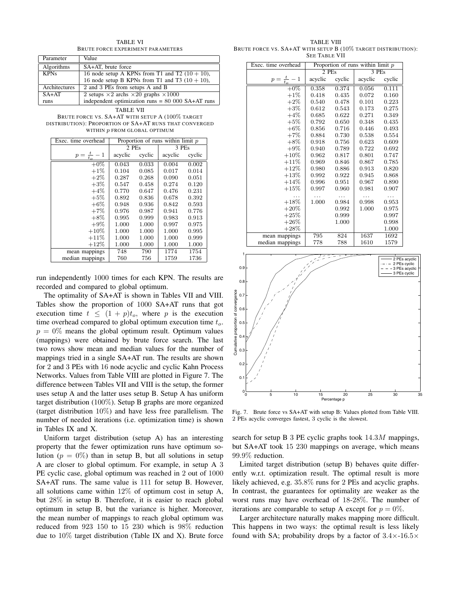BRUTE FORCE EXPERIMENT PARAMETERS Parameter Value Algorithms | SA+AT, brute force KPNs 16 node setup A KPNs from T1 and T2  $(10 + 10)$ , 16 node setup B KPNs from T1 and T3  $(10 + 10)$ , Architectures  $\vert$  2 and 3 PEs from setups A and B  $S_A + AT$  2 setups  $\times 2$  archs  $\times 20$  graphs  $\times 1000$ <br>runs = 80 00 independent optimization runs =  $80\,000\,SA+AT$  runs

TABLE VI

TABLE VII BRUTE FORCE VS. SA+AT WITH SETUP A (100% TARGET DISTRIBUTION): PROPORTION OF SA+AT RUNS THAT CONVERGED WITHIN *p* FROM GLOBAL OPTIMUM

| Exec. time overhead | Proportion of runs within $\lim_{p \to \infty}$ |        |         |             |  |  |
|---------------------|-------------------------------------------------|--------|---------|-------------|--|--|
|                     | 2 PEs                                           |        | 3 PEs   |             |  |  |
| $p=\frac{t}{t_o}-1$ | acyclic                                         | cyclic | acyclic | cyclic      |  |  |
| $+0\%$              | 0.043                                           | 0.033  | 0.004   | 0.002       |  |  |
| $+1\%$              | 0.104                                           | 0.085  | 0.017   | 0.014       |  |  |
| $+2\%$              | 0.287                                           | 0.268  | 0.090   | $\rm 0.051$ |  |  |
| $+3%$               | 0.547                                           | 0.458  | 0.274   | 0.120       |  |  |
| $+4\%$              | 0.770                                           | 0.647  | 0.476   | $\rm 0.231$ |  |  |
| $+5\%$              | 0.892                                           | 0.836  | 0.678   | 0.392       |  |  |
| $+6\%$              | 0.948                                           | 0.936  | 0.842   | 0.593       |  |  |
| $+7\%$              | 0.976                                           | 0.987  | 0.941   | 0.776       |  |  |
| $+8\%$              | 0.995                                           | 0.999  | 0.983   | 0.913       |  |  |
| $+9%$               | 1.000                                           | 1.000  | 0.997   | 0.975       |  |  |
| $+10\%$             | 1.000                                           | 1.000  | 1.000   | 0.995       |  |  |
| $+11%$              | 1.000                                           | 1.000  | 1.000   | 0.999       |  |  |
| $+12%$              | 1.000                                           | 1.000  | 1.000   | 1.000       |  |  |
| mean mappings       | 748                                             | 790    | 1774    | 1754        |  |  |
| median mappings     | 760                                             | 756    | 1759    | 1736        |  |  |

run independently 1000 times for each KPN. The results are recorded and compared to global optimum.

The optimality of SA+AT is shown in Tables VII and VIII. Tables show the proportion of 1000 SA+AT runs that got execution time  $t \leq (1 + p)t_o$ , where *p* is the execution time overhead compared to global optimum execution time *<sup>t</sup>o*.  $p = 0\%$  means the global optimum result. Optimum values (mappings) were obtained by brute force search. The last two rows show mean and median values for the number of mappings tried in a single SA+AT run. The results are shown for 2 and 3 PEs with 16 node acyclic and cyclic Kahn Process Networks. Values from Table VIII are plotted in Figure 7. The difference between Tables VII and VIII is the setup, the former uses setup A and the latter uses setup B. Setup A has uniform target distribution (100%). Setup B graphs are more organized (target distribution 10%) and have less free parallelism. The number of needed iterations (i.e. optimization time) is shown in Tables IX and X.

Uniform target distribution (setup A) has an interesting property that the fewer optimization runs have optimum solution ( $p = 0\%$ ) than in setup B, but all solutions in setup A are closer to global optimum. For example, in setup A 3 PE cyclic case, global optimum was reached in 2 out of 1000 SA+AT runs. The same value is 111 for setup B. However, all solutions came within 12% of optimum cost in setup A, but 28% in setup B. Therefore, it is easier to reach global optimum in setup B, but the variance is higher. Moreover, the mean number of mappings to reach global optimum was reduced from 923 150 to 15 230 which is 98% reduction due to 10% target distribution (Table IX and X). Brute force

TABLE VIII BRUTE FORCE VS. SA+AT WITH SETUP B (10% TARGET DISTRIBUTION): SEE TABLE VII

| Exec. time overhead |         | Proportion of runs within limit $p$ |         |        |  |  |  |
|---------------------|---------|-------------------------------------|---------|--------|--|--|--|
|                     | 2PEs    |                                     | 3PEs    |        |  |  |  |
| $p=\frac{t}{t_o}-1$ | acyclic | cyclic                              | acyclic | cyclic |  |  |  |
| $+0\%$              | 0.358   | 0.374                               | 0.056   | 0.111  |  |  |  |
| $+1\%$              | 0.418   | 0.435                               | 0.072   | 0.160  |  |  |  |
| $+2\%$              | 0.540   | 0.478                               | 0.101   | 0.223  |  |  |  |
| $+3\%$              | 0.612   | 0.543                               | 0.173   | 0.275  |  |  |  |
| $+4\%$              | 0.685   | 0.622                               | 0.271   | 0.349  |  |  |  |
| $+5\%$              | 0.792   | 0.650                               | 0.348   | 0.435  |  |  |  |
| $+6\%$              | 0.856   | 0.716                               | 0.446   | 0.493  |  |  |  |
| $+7%$               | 0.884   | 0.730                               | 0.538   | 0.554  |  |  |  |
| $+8\%$              | 0.918   | 0.756                               | 0.623   | 0.609  |  |  |  |
| $+9\%$              | 0.940   | 0.789                               | 0.722   | 0.692  |  |  |  |
| $+10%$              | 0.962   | 0.817                               | 0.801   | 0.747  |  |  |  |
| $+11%$              | 0.969   | 0.846                               | 0.867   | 0.785  |  |  |  |
| $+12%$              | 0.980   | 0.886                               | 0.913   | 0.820  |  |  |  |
| $+13%$              | 0.992   | 0.922                               | 0.945   | 0.868  |  |  |  |
| $+14%$              | 0.996   | 0.951                               | 0.967   | 0.890  |  |  |  |
| $+15%$              | 0.997   | 0.960                               | 0.981   | 0.907  |  |  |  |
| .                   | .       | $\cdots$                            | .       | .      |  |  |  |
| $+18%$              | 1.000   | 0.984                               | 0.998   | 0.953  |  |  |  |
| $+20%$              |         | 0.992                               | 1.000   | 0.975  |  |  |  |
| $+25%$              |         | 0.999                               |         | 0.997  |  |  |  |
| $+26%$              |         | 1.000                               |         | 0.998  |  |  |  |
| $+28\%$             |         |                                     |         | 1.000  |  |  |  |
| mean mappings       | 795     | 824                                 | 1637    | 1692   |  |  |  |
| median mappings     | 778     | 788                                 | 1610    | 1579   |  |  |  |



Fig. 7. Brute force vs SA+AT with setup B: Values plotted from Table VIII. 2 PEs acyclic converges fastest, 3 cyclic is the slowest.

search for setup B 3 PE cyclic graphs took 14*.*3*<sup>M</sup>* mappings, but SA+AT took 15 230 mappings on average, which means 99*.*9% reduction.

Limited target distribution (setup B) behaves quite differently w.r.t. optimization result. The optimal result is more likely achieved, e.g. 35*.*8% runs for 2 PEs and acyclic graphs. In contrast, the guarantees for optimality are weaker as the worst runs may have overhead of 18-28%. The number of iterations are comparable to setup A except for  $p = 0\%$ .

Larger architecture naturally makes mapping more difficult. This happens in two ways: the optimal result is less likely found with SA; probability drops by a factor of 3*.*4×-16*.*5<sup>×</sup>